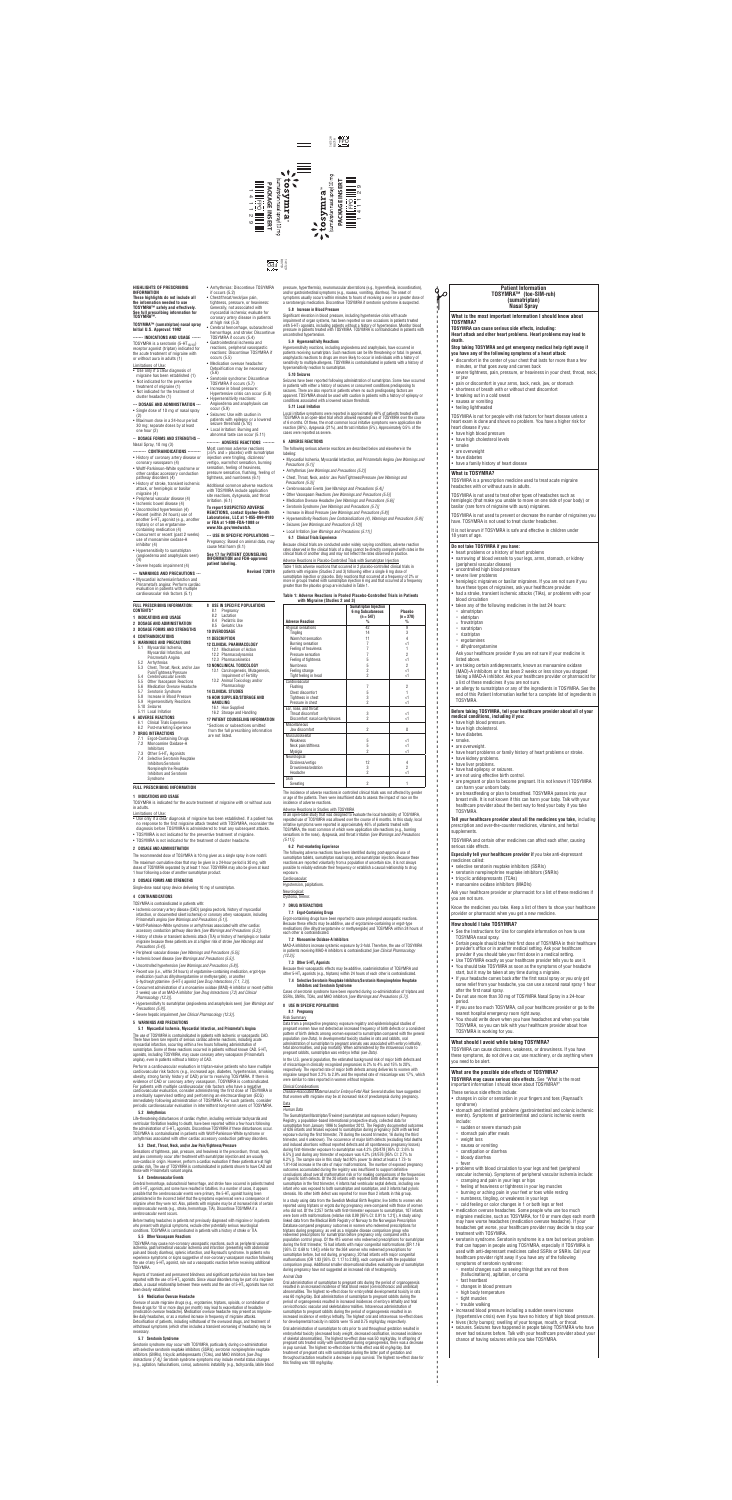# **FULL PRESCRIBING INFORMATION**

#### **1 INDICATIONS AND USAGE**

TOSYMRA is indicated for the acute treatment of migraine with or without aura in adults.

#### Limitations of Use:

- Use only if a clear diagnosis of migraine has been established. If a patient has no response to the first migraine attack treated with TOSYMRA, reconsider the diagnosis before TOSYMRA is administered to treat any subsequent attacks.
- TOSYMRA is not indicated for the preventive treatment of migraine.
- TOSYMRA is not indicated for the treatment of cluster headache.

#### **2 DOSAGE AND ADMINISTRATION**

The recommended dose of TOSYMRA is 10 mg given as a single spray in one nostril.

The maximum cumulative dose that may be given in a 24‑hour period is 30 mg, with doses of TOSYMRA separated by at least 1 hour. TOSYMRA may also be given at least 1 hour following a dose of another sumatriptan product.

**3 DOSAGE FORMS AND STRENGTHS**

Single‑dose nasal spray device delivering 10 mg of sumatriptan.

# **4 CONTRAINDICATIONS**

TOSYMRA is contraindicated in patients with:

Perform a cardiovascular evaluation in triptan-naive patients who have multiple cardiovascular risk factors (e.g., increased age, diabetes, hypertension, smoking, obesity, strong family history of CAD) prior to receiving TOSYMRA. If there is evidence of CAD or coronary artery vasospasm, TOSYMRA is contraindicated. For patients with multiple cardiovascular risk factors who have a negative cardiovascular evaluation, consider administering the first dose of TOSYMRA in a medically supervised setting and performing an electrocardiogram (ECG) immediately following administration of TOSYMRA. For such patients, consider periodic cardiovascular evaluation in intermittent long-term users of TOSYMRA.

- Ischemic coronary artery disease (CAD) (angina pectoris, history of myocardial infarction, or documented silent ischemia) or coronary artery vasospasm, including Prinzmetal's angina *[see Warnings and Precautions (5.1)]*.
- Wolff-Parkinson-White syndrome or arrhythmias associated with other cardiac accessory conduction pathway disorders *[see Warnings and Precautions (5.2)]*.
- History of stroke or transient ischemic attack (TIA) or history of hemiplegic or basilar migraine because these patients are at a higher risk of stroke *[see Warnings and Precautions (5.4)]*.
- Peripheral vascular disease *[see Warnings and Precautions (5.5)]*.
- Ischemic bowel disease *[see Warnings and Precautions (5.5)]*.
- Uncontrolled hypertension *[see Warnings and Precautions (5.8)]*.
- Recent use (i.e., within 24 hours) of ergotamine-containing medication, ergot-type medication (such as dihydroergotamine or methysergide), or another 5-hydroxytryptamine<sub>1</sub> (5-HT<sub>1</sub>) agonist *[see Drug Interactions (7.1, 7.3)]*.
- Concurrent administration of a monoamine oxidase (MAO)‑A inhibitor or recent (within 2 weeks) use of an MAO‑A inhibitor *[see Drug Interactions (7.2) and Clinical Pharmacology (12.3)]*.
- Hypersensitivity to sumatriptan (angioedema and anaphylaxis seen) *[see Warnings and Precautions (5.9)]*.
- Severe hepatic impairment *[see Clinical Pharmacology (12.3)]*.

#### **5 WARNINGS AND PRECAUTIONS**

#### **5.1 Myocardial Ischemia, Myocardial Infarction, and Prinzmetal's Angina**

The use of TOSYMRA is contraindicated in patients with ischemic or vasospastic CAD. There have been rare reports of serious cardiac adverse reactions, including acute myocardial infarction, occurring within a few hours following administration of sumatriptan. Some of these reactions occurred in patients without known CAD.  $5-HT_1$ agonists, including TOSYMRA, may cause coronary artery vasospasm (Prinzmetal's angina), even in patients without a history of CAD.

Serotonin syndrome may occur with TOSYMRA, particularly during co-administration with selective serotonin reuptake inhibitors (SSRIs), serotonin norepinephrine reuptake inhibitors (SNRIs), tricyclic antidepressants (TCAs), and MAO inhibitors *[see Drug Interactions (7.4)]*. Serotonin syndrome symptoms may include mental status changes (e.g., agitation, hallucinations, coma), autonomic instability (e.g., tachycardia, labile blood

#### **5.2 Arrhythmias**

TOSYMRA is a serotonin  $(5-HT<sub>1B/1D</sub>)$ receptor agonist (triptan) indicated for the acute treatment of migraine with or without aura in adults (1)

Limitations of Use:

Life-threatening disturbances of cardiac rhythm, including ventricular tachycardia and ventricular fibrillation leading to death, have been reported within a few hours following the administration of  $5-HT_1$  agonists. Discontinue TOSYMRA if these disturbances occur. TOSYMRA is contraindicated in patients with Wolff-Parkinson-White syndrome or arrhythmias associated with other cardiac accessory conduction pathway disorders.

#### **5.3 Chest, Throat, Neck, and/or Jaw Pain/Tightness/Pressure**

Sensations of tightness, pain, pressure, and heaviness in the precordium, throat, neck, and jaw commonly occur after treatment with sumatriptan injection and are usual non‑cardiac in origin. However, perform a cardiac evaluation if these patients are at high cardiac risk. The use of TOSYMRA is contraindicated in patients shown to have CAD and those with Prinzmetal's variant angina.

#### **5.4 Cerebrovascular Events**

Cerebral hemorrhage, subarachnoid hemorrhage, and stroke have occurred in patients treated with  $5$ -HT<sub>1</sub> agonists, and some have resulted in fatalities. In a number of cases, it appears possible that the cerebrovascular events were primary, the  $5-HT<sub>1</sub>$  agonist having been administered in the incorrect belief that the symptoms experienced were a consequence of migraine when they were not. Also, patients with migraine may be at increased risk of certain cerebrovascular events (e.g., stroke, hemorrhage, TIA). Discontinue TOSYMRA if a cerebrovascular event occurs.

Before treating headaches in patients not previously diagnosed with migraine or in patients who present with atypical symptoms, exclude other potentially serious neurological conditions. TOSYMRA is contraindicated in patients with a history of stroke or TIA.

# **5.5 Other Vasospasm Reactions**

TOSYMRA may cause non‑coronary vasospastic reactions, such as peripheral vascular ischemia, gastrointestinal vascular ischemia and infarction (presenting with abdominal pain and bloody diarrhea), splenic infarction, and Raynaud's syndrome. In patients who experience symptoms or signs suggestive of non‑coronary vasospasm reaction following the use of any  $5-HT_1$  agonist, rule out a vasospastic reaction before receiving additional TOSYMRA.

Reports of transient and permanent blindness and significant partial vision loss have been reported with the use of  $5-HT_1$  agonists. Since visual disorders may be part of a migraine attack, a causal relationship between these events and the use of  $5-HT_1$  agonists have not been clearly established.

# **5.6 Medication Overuse Headache**

Overuse of acute migraine drugs (e.g., ergotamine, triptans, opioids, or combination of these drugs for 10 or more days per month) may lead to exacerbation of headache (medication overuse headache). Medication overuse headache may present as migrainelike daily headaches, or as a marked increase in frequency of migraine attacks. Detoxification of patients, including withdrawal of the overused drugs, and treatment of withdrawal symptoms (which often includes a transient worsening of headache) may be necessary.

# **5.7 Serotonin Syndrome**

**HIGHLIGHTS OF PRESCRIBING INFORMATION**

**These highlights do not include all the information needed to use TOSYMRA™ safely and effectively. See full prescribing information for TOSYMRA™.**

**TOSYMRA™ (sumatriptan) nasal spray Initial U.S. Approval: 1992**

**------- INDICATIONS AND USAGE ------**

- Use only if a clear diagnosis of migraine has been established (1) • Not indicated for the preventive
- treatment of migraine (1) • Not indicated for the treatment of
- cluster headache (1) **--- DOSAGE AND ADMINISTRATION ---**

# • Single dose of 10 mg of nasal spray

- (2) • Maximum dose in a 24‑hour period: 30 mg; separate doses by at least one hour (2)
- **-- DOSAGE FORMS AND STRENGTHS --**

Nasal Spray, 10 mg (3)

# **--------- CONTRAINDICATIONS ---------**

- History of coronary artery disease or coronary vasospasm (4)
- Wolff-Parkinson-White syndrome or other cardiac accessory conduction pathway disorders (4)
- History of stroke, transient ischemic attack, or hemiplegic or basilar migraine (4)
- Peripheral vascular disease (4)
- Ischemic bowel disease (4)
- Uncontrolled hypertension (4)
- Recent (within 24 hours) use of another  $5-HT_1$  agonist (e.g., another triptan) or of an ergotaminecontaining medication (4)
- Concurrent or recent (past 2 weeks) use of monoamine oxidase‑A inhibitor (4)
- Hypersensitivity to sumatriptan (angioedema and anaphylaxis seen) (4)
- Severe hepatic impairment (4)

In an open-label study that was designed to evaluate the local tolerability of TOSYMRA, repeated use of TOSYMRA was allowed over the course of 6 months. In this study, local irritative symptoms were reported in approximately 46% of patients treated with TOSYMRA, the most common of which were application site reactions (e.g., burning sensations in the nose), dysgeusia, and throat irritation *[see Warnings and Precautions (5.11)]*.

# **--- WARNINGS AND PRECAUTIONS ---**

• Myocardial ischemia/infarction and Prinzmetal's angina: Perform cardiac evaluation in patients with multiple cardiovascular risk factors (5.1)

> Because their vasospastic effects may be additive, coadministration of TOSYMRA and other  $5-HT_1$  agonists (e.g., triptans) within 24 hours of each other is contraindicated.

- Arrhythmias: Discontinue TOSYMRA if occurs (5.2)
- Chest/throat/neck/jaw pain, tightness, pressure, or heaviness: Generally, not associated with myocardial ischemia; evaluate for coronary artery disease in patients at high risk (5.3) • Cerebral hemorrhage, subarachnoid
- hemorrhage, and stroke: Discontinue TOSYMRA if occurs (5.4) • Gastrointestinal ischemia and
- reactions, peripheral vasospastic reactions: Discontinue TOSYMRA if occurs (5.5) • Medication overuse headache:
- Detoxification may be necessary (5.6)
- Serotonin syndrome: Discontinue TOSYMRA if occurs (5.7)
- Increase in blood pressure: Hypertensive crisis can occur (5.8)
- Hypersensitivity reactions: Angioedema and anaphylaxis can
- occur (5.9) • Seizures: Use with caution in patients with epilepsy or a lowered seizure threshold (5.10)
- Local irritation: Burning and abnormal taste can occur (5.11)

# **--------- ADVERSE REACTIONS --------**

Most common adverse reactions (≥5% and > placebo) with sumatriptan injection were tingling, dizziness/ vertigo, warm/hot sensation, burning sensation, feeling of heaviness, pressure sensation, flushing, feeling of tightness, and numbness (6.1)

Additional common adverse reactions with TOSYMRA include application site reactions, dysgeusia, and throat irritation. (6.1)

#### **To report SUSPECTED ADVERSE REACTIONS, contact Upsher-Smith Laboratories, LLC at 1-855-899-9180 or FDA at 1-800-FDA-1088 or www.fda.gov/medwatch.**

**--- USE IN SPECIFIC POPULATIONS ---** Pregnancy: Based on animal data, may cause fetal harm (8.1)

**See 17 for PATIENT COUNSELING INFORMATION and FDA-approved patient labeling.**

**Revised 7/2019**

#### **FULL PRESCRIBING INFORMATION: CONTENTS\***

- **1 INDICATIONS AND USAGE**
- **2 DOSAGE AND ADMINISTRATION**
- **3 DOSAGE FORMS AND STRENGTHS**
- **4 CONTRAINDICATIONS**
- **5 WARNINGS AND PRECAUTIONS**
- 5.1 Myocardial Ischemia, Myocardial Infarction, and Prinzmetal's Angina
- 5.2 Arrhythmias 5.3 Chest, Throat, Neck, and/or Jaw
- Pain/Tightness/Pressure 5.4 Cerebrovascular Events
- 5.5 Other Vasospasm Reactions
- 
- 5.6 Medication Overuse Headache
- Serotonin Syndrome 5.8 Increase in Blood Pressure
- 5.9 Hypersensitivity Reactions
- 5.10 Seizures
- 5.11 Local Irritation

#### **6 ADVERSE REACTIONS**

6.1 Clinical Trials Experience 6.2 Post-marketing Experience

# **7 DRUG INTERACTIONS**

- 
- 7.1 Ergot-Containing Drugs 7.2 Monoamine Oxidase-A
- Inhibitors
- 7.3 Other  $5$ -HT<sub>1</sub> Agonists<br>7.4 Selective Serotonin Reu Selective Serotonin Reuptake Inhibitors/Serotonin Norepinephrine Reuptake Inhibitors and Serotonin

Syndrome

**8 USE IN SPECIFIC POPULATIONS**

8.1 Pregnancy 8.2 Lactation 8.4 Pediatric Use 8.5 Geriatric Use **10 OVERDOSAGE 11 DESCRIPTION**

**12 CLINICAL PHARMACOLOGY** 12.1 Mechanism of Action 12.2 Pharmacodynamics 12.3 Pharmacokinetics **13 NONCLINICAL TOXICOLOGY** 13.1 Carcinogenesis, Mutagenesis, Impairment of Fertility 13.2 Animal Toxicology and/or Pharmacology

**14 CLINICAL STUDIES**

**16 HOW SUPPLIED/STORAGE AND** 

**HANDLING** 16.1 How Supplied 16.2 Storage and Handling **17 PATIENT COUNSELING INFORMATION** \*Sections or subsections omitted from the full prescribing information

are not listed.

pressure, hyperthermia), neuromuscular aberrations (e.g., hyperreflexia, incoordination), and/or gastrointestinal symptoms (e.g., nausea, vomiting, diarrhea). The onset of symptoms usually occurs within minutes to hours of receiving a new or a greater dose of a serotonergic medication. Discontinue TOSYMRA if serotonin syndrome is suspected.

# **5.8 Increase in Blood Pressure**

Significant elevation in blood pressure, including hypertensive crisis with acute impairment of organ systems, has been reported on rare occasions in patients treated with 5-HT<sub>1</sub> agonists, including patients without a history of hypertension. Monitor blood pressure in patients treated with TOSYMRA. TOSYMRA is contraindicated in patients with uncontrolled hypertension.

# **5.9 Hypersensitivity Reactions**

Hypersensitivity reactions, including angioedema and anaphylaxis, have occurred in patients receiving sumatriptan. Such reactions can be life threatening or fatal. In general, anaphylactic reactions to drugs are more likely to occur in individuals with a history of sensitivity to multiple allergens. TOSYMRA is contraindicated in patients with a history of hypersensitivity reaction to sumatriptan.

# **5.10 Seizures**

Seizures have been reported following administration of sumatriptan. Some have occurred in patients with either a history of seizures or concurrent conditions predisposing to seizures. There are also reports in patients where no such predisposing factors are apparent. TOSYMRA should be used with caution in patients with a history of epilepsy or conditions associated with a lowered seizure threshold.

# **5.11 Local Irritation**

Local irritative symptoms were reported in approximately 46% of patients treated with TOSYMRA in an open‑label trial which allowed repeated use of TOSYMRA over the course of 6 months. Of these, the most common local irritative symptoms were application site reaction (36%), dysgeusia (21%), and throat irritation (5%). Approximately 0.5% of the cases were reported as severe.

# **6 ADVERSE REACTIONS**

The following serious adverse reactions are described below and elsewhere in the labeling:

- Myocardial Ischemia, Myocardial Infarction, and Prinzmetal's Angina *[see Warnings and Precautions (5.1)]*
- Arrhythmias *[see Warnings and Precautions (5.2)]*
- Chest, Throat, Neck, and/or Jaw Pain/Tightness/Pressure *[see Warnings and Precautions (5.3)]*
- Cerebrovascular Events *[see Warnings and Precautions (5.4)]*
- Other Vasospasm Reactions *[see Warnings and Precautions (5.5)]*
- Medication Overuse Headache *[see Warnings and Precautions (5.6)]*
- Serotonin Syndrome *[see Warnings and Precautions (5.7)]*
- Increase in Blood Pressure *[see Warnings and Precautions (5.8)]*
- Hypersensitivity Reactions *[see Contraindications (4), Warnings and Precautions (5.9)]*
- Seizures *[see Warnings and Precautions (5.10)]*
- Local Irritation *[see Warnings and Precautions (5.11)]*

# **6.1 Clinical Trials Experience**

Because clinical trials are conducted under widely varying conditions, adverse reaction rates observed in the clinical trials of a drug cannot be directly compared with rates in the clinical trials of another drug and may not reflect the rates observed in practice.

Adverse Reactions in Placebo-Controlled Trials with Sumatriptan Injection Table 1 lists adverse reactions that occurred in 2 placebo-controlled clinical trials in patients with migraine (Studies 2 and 3) following either a single 6 mg dose of sumatriptan injection or placebo. Only reactions that occurred at a frequency of 2% or more in groups treated with sumatriptan injection 6 mg and that occurred at a frequency greater than the placebo group are included in Table 1.

# **Table 1: Adverse Reactions in Pooled Placebo-Controlled Trials in Patients with Migraine (Studies 2 and 3)**

| <b>Adverse Reaction</b>          | <b>Sumatriptan Injection</b><br><b>6 mg Subcutaneous</b><br>$(n = 547)$<br>$\frac{0}{0}$ | Placebo<br>$(n = 370)$<br>$\frac{0}{0}$ |
|----------------------------------|------------------------------------------------------------------------------------------|-----------------------------------------|
| Atypical sensations              | 42                                                                                       | 9                                       |
| Tingling                         | 14                                                                                       | 3                                       |
| Warm/hot sensation               | 11                                                                                       | $\overline{4}$                          |
| <b>Burning sensation</b>         | $\overline{7}$                                                                           | < 1                                     |
| Feeling of heaviness             | 7                                                                                        | 1                                       |
| Pressure sensation               | 7                                                                                        | $\overline{2}$                          |
| Feeling of tightness             | 5                                                                                        | $\leq$ 1                                |
| <b>Numbness</b>                  | 5                                                                                        | $\overline{2}$                          |
| Feeling strange                  | $\overline{2}$                                                                           | $\leq$ 1                                |
| Tight feeling in head            | 2                                                                                        | $\leq$ 1                                |
| Cardiovascular                   |                                                                                          |                                         |
| Flushing                         | 7                                                                                        | $\overline{2}$                          |
| Chest discomfort                 | 5                                                                                        | 1                                       |
| Tightness in chest               | 3                                                                                        | $\leq$ 1                                |
| Pressure in chest                | $\overline{2}$                                                                           | $\leq$ 1                                |
| Ear, nose, and throat            |                                                                                          |                                         |
| Throat discomfort                | 3                                                                                        | $\leq$ 1                                |
| Discomfort: nasal cavity/sinuses | 2                                                                                        | $\leq$ 1                                |
| <b>Miscellaneous</b>             |                                                                                          |                                         |
| Jaw discomfort                   | $\overline{2}$                                                                           | $\mathbf{0}$                            |
| Musculoskeletal                  |                                                                                          |                                         |
| Weakness                         | 5                                                                                        | < 1                                     |
| Neck pain/stiffness              | 5                                                                                        | $\leq$ 1                                |
| Myalgia                          | $\overline{2}$                                                                           | $\leq$ 1                                |
| Neurological                     |                                                                                          |                                         |
| Dizziness/vertigo                | 12                                                                                       | 4                                       |
| Drowsiness/sedation              | 3                                                                                        | $\overline{2}$                          |
| Headache                         | 2                                                                                        | $\leq$ 1                                |
| Skin<br>Sweating                 | $\overline{2}$                                                                           | 1                                       |

The incidence of adverse reactions in controlled clinical trials was not affected by gender or age of the patients. There were insufficient data to assess the impact of race on the incidence of adverse reactions.

### Adverse Reactions in Studies with TOSYMRA

# **6.2 Post-marketing Experience**

The following adverse reactions have been identified during post-approval use of sumatriptan tablets, sumatriptan nasal spray, and sumatriptan injection. Because these reactions are reported voluntarily from a population of uncertain size, it is not always possible to reliably estimate their frequency or establish a causal relationship to drug exposure.

Cardiovascular:

Hypotension, palpitations.

Neurological: Dystonia, tremor.

# **7 DRUG INTERACTIONS**

# **7.1 Ergot-Containing Drugs**

Ergot-containing drugs have been reported to cause prolonged vasospastic reactions. Because these effects may be additive, use of ergotamine-containing or ergot-type medications (like dihydroergotamine or methysergide) and TOSYMRA within 24 hours of each other is contraindicated.

#### **7.2 Monoamine Oxidase-A Inhibitors**

MAO‑A inhibitors increase systemic exposure by 2‑fold. Therefore, the use of TOSYMRA in patients receiving MAO‑A inhibitors is contraindicated *[see Clinical Pharmacology (12.3)]*.

#### **7.3 Other 5-HT<sub>1</sub> Agonists**

#### **7.4 Selective Serotonin Reuptake Inhibitors/Serotonin Norepinephrine Reuptake Inhibitors and Serotonin Syndrome**

Cases of serotonin syndrome have been reported during co‑administration of triptans and SSRIs, SNRIs, TCAs, and MAO inhibitors *[see Warnings and Precautions (5.7)]*.

# **8 USE IN SPECIFIC POPULATIONS**

# **8.1 Pregnancy**

# Risk Summary

Data from a prospective pregnancy exposure registry and epidemiological studies of pregnant women have not detected an increased frequency of birth defects or a consistent pattern of birth defects among women exposed to sumatriptan compared with the general population *(see Data)*. In developmental toxicity studies in rats and rabbits, oral administration of sumatriptan to pregnant animals was associated with embryo lethality, fetal abnormalities, and pup mortality. When administered by the intravenous route to pregnant rabbits, sumatriptan was embryo lethal *(see Data)*.

In the U.S. general population, the estimated background risk of major birth defects and of miscarriage in clinically recognized pregnancies is 2% to 4% and 15% to 20%, respectively. The reported rate of major birth defects among deliveries to women with migraine ranged from 2.2% to 2.9% and the reported rate of miscarriage was 17%, which were similar to rates reported in women without migraine.

### Clinical Considerations

*Disease-Associated Maternal and/or Embryo/Fetal Risk:* Several studies have suggested that women with migraine may be at increased risk of preeclampsia during pregnancy.

#### Data *Human Data*

The Sumatriptan/Naratriptan/Treximet (sumatriptan and naproxen sodium) Pregnancy Registry, a population-based international prospective study, collected data for sumatriptan from January 1996 to September 2012. The Registry documented outcomes of 626 infants and fetuses exposed to sumatriptan during pregnancy (528 with earliest exposure during the first trimester, 78 during the second trimester, 16 during the third trimester, and 4 unknown). The occurrence of major birth defects (excluding fetal deaths and induced abortions without reported defects and all spontaneous pregnancy losses) during first-trimester exposure to sumatriptan was 4.2% (20/478 [95% CI: 2.6% to 6.5%]) and during any trimester of exposure was 4.2% (24/576 [95% CI: 2.7% to 6.2%]). The sample size in this study had 80% power to detect at least a 1.73- to 1.91‑fold increase in the rate of major malformations. The number of exposed pregnancy outcomes accumulated during the registry was insufficient to support definitive conclusions about overall malformation risk or for making comparisons of the frequencies of specific birth defects. Of the 20 infants with reported birth defects after exposure to sumatriptan in the first trimester, 4 infants had ventricular septal defects, including one infant who was exposed to both sumatriptan and naratriptan, and 3 infants had pyloric stenosis. No other birth defect was reported for more than 2 infants in this group. In a study using data from the Swedish Medical Birth Register, live births to women who reported using triptans or ergots during pregnancy were compared with those of women who did not. Of the 2,257 births with first-trimester exposure to sumatriptan, 107 infants were born with malformations (relative risk 0.99 [95% CI: 0.91 to 1.21]). A study using linked data from the Medical Birth Registry of Norway to the Norwegian Prescription Database compared pregnancy outcomes in women who redeemed prescriptions for triptans during pregnancy, as well as a migraine disease comparison group who redeemed prescriptions for sumatriptan before pregnancy only, compared with a population control group. Of the 415 women who redeemed prescriptions for sumatriptan during the first trimester, 15 had infants with major congenital malformations (OR 1.16 [95% CI: 0.69 to 1.94]) while for the 364 women who redeemed prescriptions for sumatriptan before, but not during, pregnancy, 20 had infants with major congenital malformations (OR 1.83 [95% CI: 1.17 to 2.88]), each compared with the population comparison group. Additional smaller observational studies evaluating use of sumatriptan during pregnancy have not suggested an increased risk of teratogenicity.

# *Animal Data*

Oral administration of sumatriptan to pregnant rats during the period of organogenesis resulted in an increased incidence of fetal blood vessel (cervicothoracic and umbilical) abnormalities. The highest no-effect dose for embryofetal developmental toxicity in rats was 60 mg/kg/day. Oral administration of sumatriptan to pregnant rabbits during the period of organogenesis resulted in increased incidences of embryo lethality and fetal cervicothoracic vascular and skeletal abnormalities. Intravenous administration of sumatriptan to pregnant rabbits during the period of organogenesis resulted in an increased incidence of embryo lethality. The highest oral and intravenous no-effect doses for developmental toxicity in rabbits were 15 and 0.75 mg/kg/day, respectively.

Oral administration of sumatriptan to rats prior to and throughout gestation resulted in embryofetal toxicity (decreased body weight, decreased ossification, increased incidence of skeletal abnormalities). The highest no‑effect dose was 50 mg/kg/day. In offspring of pregnant rats treated orally with sumatriptan during organogenesis, there was a decrease in pup survival. The highest no-effect dose for this effect was 60 mg/kg/day. Oral treatment of pregnant rats with sumatriptan during the latter part of gestation and throughout lactation resulted in a decrease in pup survival. The highest no‑effect dose for this finding was 100 mg/kg/day.

# **Patient Information TOSYMRA™ (toe-SIM-ruh) (sumatriptan) Nasal Spray**

**What is the most important information I should know about TOSYMRA?**

**TOSYMRA can cause serious side effects, including: Heart attack and other heart problems. Heart problems may lead to death.**

# **Stop taking TOSYMRA and get emergency medical help right away if you have any of the following symptoms of a heart attack:**

- discomfort in the center of your chest that lasts for more than a few minutes, or that goes away and comes back
- severe tightness, pain, pressure, or heaviness in your chest, throat, neck, or jaw
- pain or discomfort in your arms, back, neck, jaw, or stomach
- shortness of breath with or without chest discomfort
- breaking out in a cold sweat
- nausea or vomiting
- feeling lightheaded

TOSYMRA is not for people with risk factors for heart disease unless a heart exam is done and shows no problem. You have a higher risk for heart disease if you:

• have high blood pressure

• smoke

 $\boldsymbol{O}$ 

• are overweight • have diabetes

• have a family history of heart disease

**What is TOSYMRA?**

• have high cholesterol levels

TOSYMRA is a prescription medicine used to treat acute migraine

headaches with or without aura in adults.

TOSYMRA is not used to treat other types of headaches such as hemiplegic (that make you unable to move on one side of your body) or

basilar (rare form of migraine with aura) migraines.

TOSYMRA is not used to prevent or decrease the number of migraines you

have. TOSYMRA is not used to treat cluster headaches.

It is not known if TOSYMRA is safe and effective in children under

18 years of age.

**Do not take TOSYMRA if you have:**

• heart problems or a history of heart problems

• narrowing of blood vessels to your legs, arms, stomach, or kidney

(peripheral vascular disease) • uncontrolled high blood pressure

• severe liver problems

• hemiplegic migraines or basilar migraines. If you are not sure if you have these types of migraines, ask your healthcare provider.

• had a stroke, transient ischemic attacks (TIAs), or problems with your

blood circulation

• taken any of the following medicines in the last 24 hours:

° almotriptan ° eletriptan ° frovatriptan ° naratriptan ° rizatriptan ° ergotamines ° dihydroergotamine

Ask your healthcare provider if you are not sure if your medicine is

listed above.

• are taking certain antidepressants, known as monoamine oxidase (MAO)‑A inhibitors or it has been 2 weeks or less since you stopped taking a MAO‑A inhibitor. Ask your healthcare provider or pharmacist for

a list of these medicines if you are not sure.

• an allergy to sumatriptan or any of the ingredients in TOSYMRA. See the end of this Patient Information leaflet for a complete list of ingredients in

TOSYMRA.

**Before taking TOSYMRA, tell your healthcare provider about all of your** 

# **medical conditions, including if you:**

- have high blood pressure. • have high cholesterol.
- have diabetes.
- smoke.
- are overweight.
- have heart problems or family history of heart problems or stroke.
- have kidney problems.
- have liver problems.
- have had epilepsy or seizures.
- are not using effective birth control.
- are pregnant or plan to become pregnant. It is not known if TOSYMRA can harm your unborn baby.
- are breastfeeding or plan to breastfeed. TOSYMRA passes into your breast milk. It is not known if this can harm your baby. Talk with your healthcare provider about the best way to feed your baby if you take TOSYMRA.

# **Tell your healthcare provider about all the medicines you take,** including prescription and over‑the-counter medicines, vitamins, and herbal

supplements. TOSYMRA and certain other medicines can affect each other, causing serious side effects.

# **Especially tell your healthcare provider if** you take anti-depressant medicines called:

- selective serotonin reuptake inhibitors (SSRIs)
- serotonin norepinephrine reuptake inhibitors (SNRIs)
- tricyclic antidepressants (TCAs)
- monoamine oxidase inhibitors (MAOIs)

Ask your healthcare provider or pharmacist for a list of these medicines if you are not sure.

Know the medicines you take. Keep a list of them to show your healthcare provider or pharmacist when you get a new medicine.

# **How should I take TOSYMRA?**

- See the Instructions for Use for complete information on how to use TOSYMRA nasal spray.
- Certain people should take their first dose of TOSYMRA in their healthcare provider's office or in another medical setting. Ask your healthcare provider if you should take your first dose in a medical setting.
- Use TOSYMRA exactly as your healthcare provider tells you to use it.
- You should take TOSYMRA as soon as the symptoms of your headache start, but it may be taken at any time during a migraine.
- If your headache comes back after the first nasal spray or you only get some relief from your headache, you can use a second nasal spray 1 hour after the first nasal spray.
- Do not use more than 30 mg of TOSYMRA Nasal Spray in a 24-hour period.
- If you use too much TOSYMRA, call your healthcare provider or go to the nearest hospital emergency room right away.
- You should write down when you have headaches and when you take TOSYMRA, so you can talk with your healthcare provider about how TOSYMRA is working for you.

# **What should I avoid while taking TOSYMRA?**

TOSYMRA can cause dizziness, weakness, or drowsiness. If you have these symptoms, do not drive a car, use machinery, or do anything where you need to be alert.

# **What are the possible side effects of TOSYMRA?**

**TOSYMRA may cause serious side effects.** See "What is the most important information I should know about TOSYMRA?"

These serious side effects include:

• changes in color or sensation in your fingers and toes (Raynaud's

syndrome)

• stomach and intestinal problems (gastrointestinal and colonic ischemic events). Symptoms of gastrointestinal and colonic ischemic events

include:

° sudden or severe stomach pain ° stomach pain after meals

° weight loss ° nausea or vomiting ° constipation or diarrhea

° bloody diarrhea

° fever

п

- problems with blood circulation to your legs and feet (peripheral vascular ischemia). Symptoms of peripheral vascular ischemia include:
- ° cramping and pain in your legs or hips
- ° feeling of heaviness or tightness in your leg muscles
- burning or aching pain in your feet or toes while resting
- ° numbness, tingling, or weakness in your legs
- ° cold feeling or color changes in 1 or both legs or feet
- medication overuse headaches. Some people who use too much migraine medicine, such as TOSYMRA, for 10 or more days each month may have worse headaches (medication overuse headache). If your headaches get worse, your healthcare provider may decide to stop your treatment with TOSYMRA.
- serotonin syndrome. Serotonin syndrome is a rare but serious problem that can happen in people using TOSYMRA, especially if TOSYMRA is used with anti-depressant medicines called SSRIs or SNRIs. Call your healthcare provider right away if you have any of the following symptoms of serotonin syndrome:
- ° mental changes such as seeing things that are not there (hallucinations), agitation, or coma
- ° fast heartbeat
- ° changes in blood pressure
- ° high body temperature
- ° tight muscles
- ° trouble walking
- increased blood pressure including a sudden severe increase (hypertensive crisis) even if you have no history of high blood pressure.
- hives (itchy bumps); swelling of your tongue, mouth, or throat.
- seizures. Seizures have happened in people taking TOSYMRA who have never had seizures before. Talk with your healthcare provider about your chance of having seizures while you take TOSYMRA.